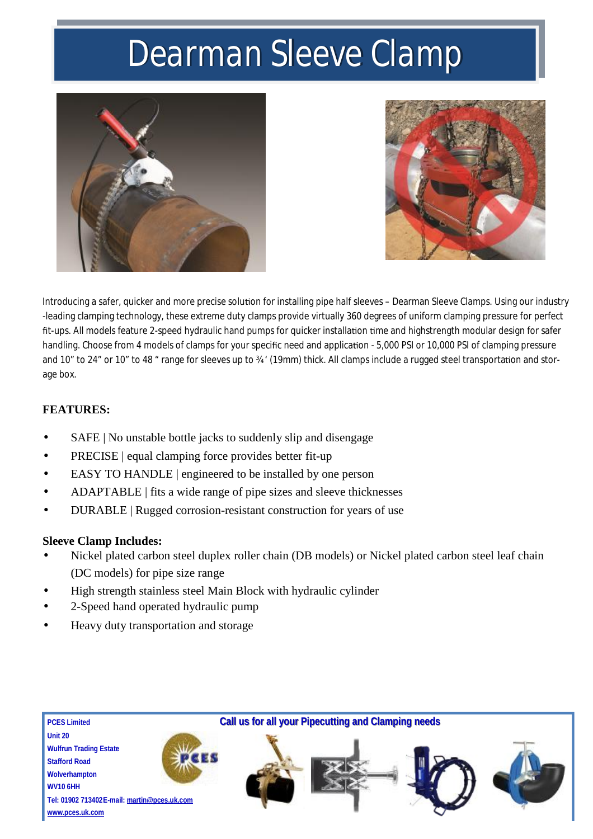## *Dearman Sleeve Clamp*





Introducing a safer, quicker and more precise solution for installing pipe half sleeves – Dearman Sleeve Clamps. Using our industry -leading clamping technology, these extreme duty clamps provide virtually 360 degrees of uniform clamping pressure for perfect fit-ups. All models feature 2-speed hydraulic hand pumps for quicker installation time and highstrength modular design for safer handling. Choose from 4 models of clamps for your specific need and application - 5,000 PSI or 10,000 PSI of clamping pressure and 10" to 24" or 10" to 48 " range for sleeves up to 34 ' (19mm) thick. All clamps include a rugged steel transportation and storage box.

#### **FEATURES:**

- SAFE | No unstable bottle jacks to suddenly slip and disengage
- PRECISE | equal clamping force provides better fit-up
- EASY TO HANDLE | engineered to be installed by one person
- · ADAPTABLE | fits a wide range of pipe sizes and sleeve thicknesses
- DURABLE | Rugged corrosion-resistant construction for years of use

#### **Sleeve Clamp Includes:**

- Nickel plated carbon steel duplex roller chain (DB models) or Nickel plated carbon steel leaf chain (DC models) for pipe size range
- High strength stainless steel Main Block with hydraulic cylinder
- · 2-Speed hand operated hydraulic pump
- Heavy duty transportation and storage